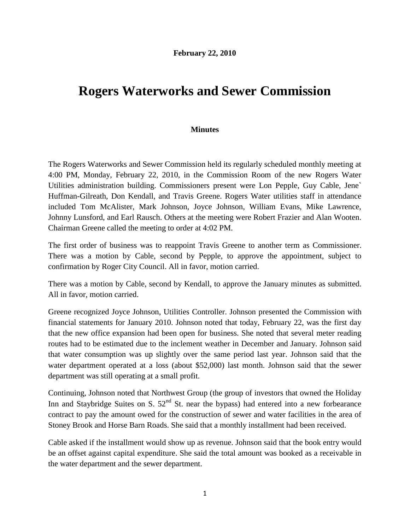## **Rogers Waterworks and Sewer Commission**

## **Minutes**

The Rogers Waterworks and Sewer Commission held its regularly scheduled monthly meeting at 4:00 PM, Monday, February 22, 2010, in the Commission Room of the new Rogers Water Utilities administration building. Commissioners present were Lon Pepple, Guy Cable, Jene` Huffman-Gilreath, Don Kendall, and Travis Greene. Rogers Water utilities staff in attendance included Tom McAlister, Mark Johnson, Joyce Johnson, William Evans, Mike Lawrence, Johnny Lunsford, and Earl Rausch. Others at the meeting were Robert Frazier and Alan Wooten. Chairman Greene called the meeting to order at 4:02 PM.

The first order of business was to reappoint Travis Greene to another term as Commissioner. There was a motion by Cable, second by Pepple, to approve the appointment, subject to confirmation by Roger City Council. All in favor, motion carried.

There was a motion by Cable, second by Kendall, to approve the January minutes as submitted. All in favor, motion carried.

Greene recognized Joyce Johnson, Utilities Controller. Johnson presented the Commission with financial statements for January 2010. Johnson noted that today, February 22, was the first day that the new office expansion had been open for business. She noted that several meter reading routes had to be estimated due to the inclement weather in December and January. Johnson said that water consumption was up slightly over the same period last year. Johnson said that the water department operated at a loss (about \$52,000) last month. Johnson said that the sewer department was still operating at a small profit.

Continuing, Johnson noted that Northwest Group (the group of investors that owned the Holiday Inn and Staybridge Suites on S.  $52<sup>nd</sup>$  St. near the bypass) had entered into a new forbearance contract to pay the amount owed for the construction of sewer and water facilities in the area of Stoney Brook and Horse Barn Roads. She said that a monthly installment had been received.

Cable asked if the installment would show up as revenue. Johnson said that the book entry would be an offset against capital expenditure. She said the total amount was booked as a receivable in the water department and the sewer department.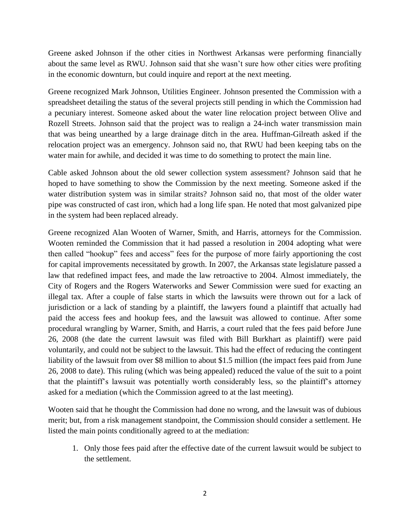Greene asked Johnson if the other cities in Northwest Arkansas were performing financially about the same level as RWU. Johnson said that she wasn't sure how other cities were profiting in the economic downturn, but could inquire and report at the next meeting.

Greene recognized Mark Johnson, Utilities Engineer. Johnson presented the Commission with a spreadsheet detailing the status of the several projects still pending in which the Commission had a pecuniary interest. Someone asked about the water line relocation project between Olive and Rozell Streets. Johnson said that the project was to realign a 24-inch water transmission main that was being unearthed by a large drainage ditch in the area. Huffman-Gilreath asked if the relocation project was an emergency. Johnson said no, that RWU had been keeping tabs on the water main for awhile, and decided it was time to do something to protect the main line.

Cable asked Johnson about the old sewer collection system assessment? Johnson said that he hoped to have something to show the Commission by the next meeting. Someone asked if the water distribution system was in similar straits? Johnson said no, that most of the older water pipe was constructed of cast iron, which had a long life span. He noted that most galvanized pipe in the system had been replaced already.

Greene recognized Alan Wooten of Warner, Smith, and Harris, attorneys for the Commission. Wooten reminded the Commission that it had passed a resolution in 2004 adopting what were then called "hookup" fees and access" fees for the purpose of more fairly apportioning the cost for capital improvements necessitated by growth. In 2007, the Arkansas state legislature passed a law that redefined impact fees, and made the law retroactive to 2004. Almost immediately, the City of Rogers and the Rogers Waterworks and Sewer Commission were sued for exacting an illegal tax. After a couple of false starts in which the lawsuits were thrown out for a lack of jurisdiction or a lack of standing by a plaintiff, the lawyers found a plaintiff that actually had paid the access fees and hookup fees, and the lawsuit was allowed to continue. After some procedural wrangling by Warner, Smith, and Harris, a court ruled that the fees paid before June 26, 2008 (the date the current lawsuit was filed with Bill Burkhart as plaintiff) were paid voluntarily, and could not be subject to the lawsuit. This had the effect of reducing the contingent liability of the lawsuit from over \$8 million to about \$1.5 million (the impact fees paid from June 26, 2008 to date). This ruling (which was being appealed) reduced the value of the suit to a point that the plaintiff's lawsuit was potentially worth considerably less, so the plaintiff's attorney asked for a mediation (which the Commission agreed to at the last meeting).

Wooten said that he thought the Commission had done no wrong, and the lawsuit was of dubious merit; but, from a risk management standpoint, the Commission should consider a settlement. He listed the main points conditionally agreed to at the mediation:

1. Only those fees paid after the effective date of the current lawsuit would be subject to the settlement.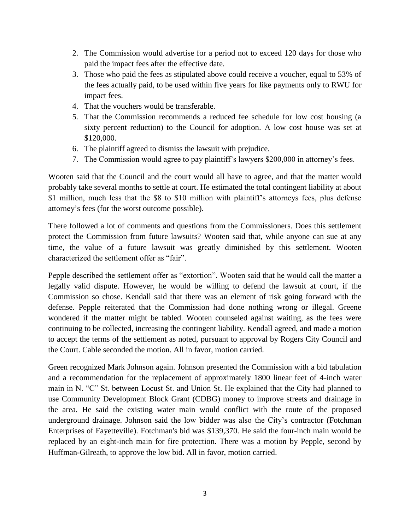- 2. The Commission would advertise for a period not to exceed 120 days for those who paid the impact fees after the effective date.
- 3. Those who paid the fees as stipulated above could receive a voucher, equal to 53% of the fees actually paid, to be used within five years for like payments only to RWU for impact fees.
- 4. That the vouchers would be transferable.
- 5. That the Commission recommends a reduced fee schedule for low cost housing (a sixty percent reduction) to the Council for adoption. A low cost house was set at \$120,000.
- 6. The plaintiff agreed to dismiss the lawsuit with prejudice.
- 7. The Commission would agree to pay plaintiff's lawyers \$200,000 in attorney's fees.

Wooten said that the Council and the court would all have to agree, and that the matter would probably take several months to settle at court. He estimated the total contingent liability at about \$1 million, much less that the \$8 to \$10 million with plaintiff's attorneys fees, plus defense attorney's fees (for the worst outcome possible).

There followed a lot of comments and questions from the Commissioners. Does this settlement protect the Commission from future lawsuits? Wooten said that, while anyone can sue at any time, the value of a future lawsuit was greatly diminished by this settlement. Wooten characterized the settlement offer as "fair".

Pepple described the settlement offer as "extortion". Wooten said that he would call the matter a legally valid dispute. However, he would be willing to defend the lawsuit at court, if the Commission so chose. Kendall said that there was an element of risk going forward with the defense. Pepple reiterated that the Commission had done nothing wrong or illegal. Greene wondered if the matter might be tabled. Wooten counseled against waiting, as the fees were continuing to be collected, increasing the contingent liability. Kendall agreed, and made a motion to accept the terms of the settlement as noted, pursuant to approval by Rogers City Council and the Court. Cable seconded the motion. All in favor, motion carried.

Green recognized Mark Johnson again. Johnson presented the Commission with a bid tabulation and a recommendation for the replacement of approximately 1800 linear feet of 4-inch water main in N. "C" St. between Locust St. and Union St. He explained that the City had planned to use Community Development Block Grant (CDBG) money to improve streets and drainage in the area. He said the existing water main would conflict with the route of the proposed underground drainage. Johnson said the low bidder was also the City's contractor (Fotchman Enterprises of Fayetteville). Fotchman's bid was \$139,370. He said the four-inch main would be replaced by an eight-inch main for fire protection. There was a motion by Pepple, second by Huffman-Gilreath, to approve the low bid. All in favor, motion carried.